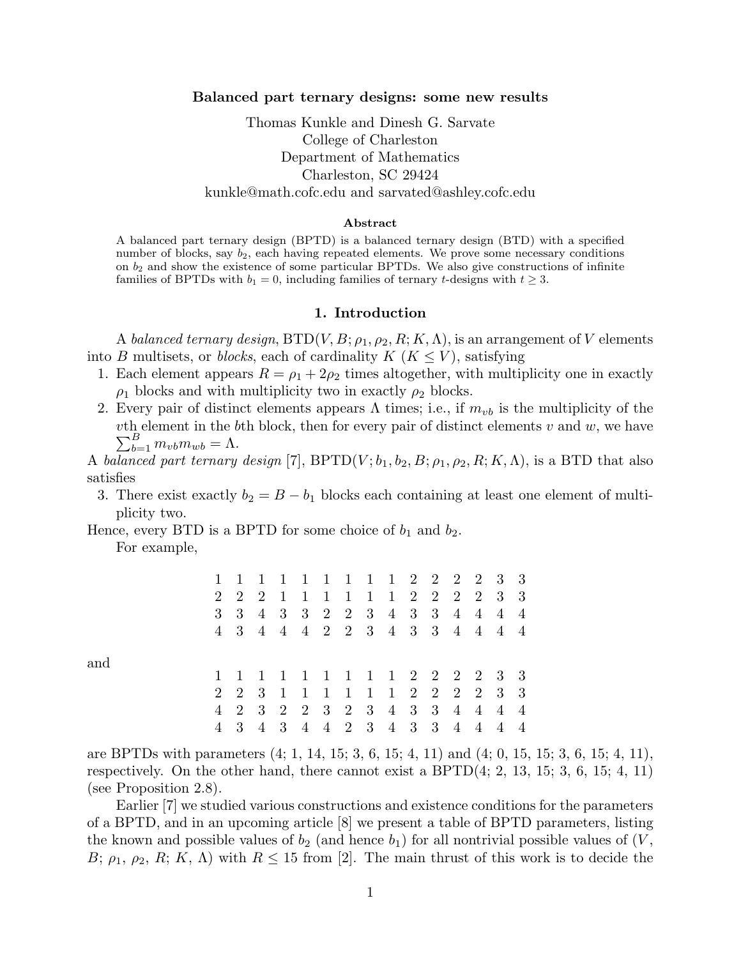### Balanced part ternary designs: some new results

# Thomas Kunkle and Dinesh G. Sarvate College of Charleston Department of Mathematics Charleston, SC 29424 kunkle@math.cofc.edu and sarvated@ashley.cofc.edu

#### Abstract

A balanced part ternary design (BPTD) is a balanced ternary design (BTD) with a specified number of blocks, say  $b_2$ , each having repeated elements. We prove some necessary conditions on  $b_2$  and show the existence of some particular BPTDs. We also give constructions of infinite families of BPTDs with  $b_1 = 0$ , including families of ternary t-designs with  $t \geq 3$ .

#### 1. Introduction

A balanced ternary design,  $\text{BTD}(V, B; \rho_1, \rho_2, R; K, \Lambda)$ , is an arrangement of V elements into B multisets, or *blocks*, each of cardinality  $K$  ( $K \leq V$ ), satisfying

- 1. Each element appears  $R = \rho_1 + 2\rho_2$  times altogether, with multiplicity one in exactly  $\rho_1$  blocks and with multiplicity two in exactly  $\rho_2$  blocks.
- 2. Every pair of distinct elements appears  $\Lambda$  times; i.e., if  $m_{vb}$  is the multiplicity of the  $v$ th element in the bth block, then for every pair of distinct elements  $v$  and  $w$ , we have  $\sum_{b=1}^{B} m_{vb} m_{wb} = \Lambda.$

A balanced part ternary design [7],  $BPTD(V; b_1, b_2, B; \rho_1, \rho_2, R; K, \Lambda)$ , is a BTD that also satisfies

3. There exist exactly  $b_2 = B - b_1$  blocks each containing at least one element of multiplicity two.

Hence, every BTD is a BPTD for some choice of  $b_1$  and  $b_2$ .

For example,

and

|  |  |  |  |  |  | 1 1 1 1 1 1 1 1 1 2 2 2 2 3 3 |  |  |
|--|--|--|--|--|--|-------------------------------|--|--|
|  |  |  |  |  |  | 2 2 2 1 1 1 1 1 1 2 2 2 2 3 3 |  |  |
|  |  |  |  |  |  | 3 3 4 3 3 2 2 3 4 3 3 4 4 4 4 |  |  |
|  |  |  |  |  |  | 4 3 4 4 4 2 2 3 4 3 3 4 4 4 4 |  |  |
|  |  |  |  |  |  |                               |  |  |
|  |  |  |  |  |  | 1 1 1 1 1 1 1 1 1 2 2 2 2 3 3 |  |  |
|  |  |  |  |  |  | 2 2 3 1 1 1 1 1 1 2 2 2 2 3 3 |  |  |
|  |  |  |  |  |  | 4 2 3 2 2 3 2 3 4 3 3 4 4 4 4 |  |  |
|  |  |  |  |  |  | 3 4 3 4 4 2 3 4 3 3 4 4 4 4   |  |  |

are BPTDs with parameters (4; 1, 14, 15; 3, 6, 15; 4, 11) and (4; 0, 15, 15; 3, 6, 15; 4, 11), respectively. On the other hand, there cannot exist a  $BPTD(4; 2, 13, 15; 3, 6, 15; 4, 11)$ (see Proposition 2.8).

Earlier [7] we studied various constructions and existence conditions for the parameters of a BPTD, and in an upcoming article [8] we present a table of BPTD parameters, listing the known and possible values of  $b_2$  (and hence  $b_1$ ) for all nontrivial possible values of  $(V,$ B;  $\rho_1$ ,  $\rho_2$ , R; K,  $\Lambda$ ) with  $R \leq 15$  from [2]. The main thrust of this work is to decide the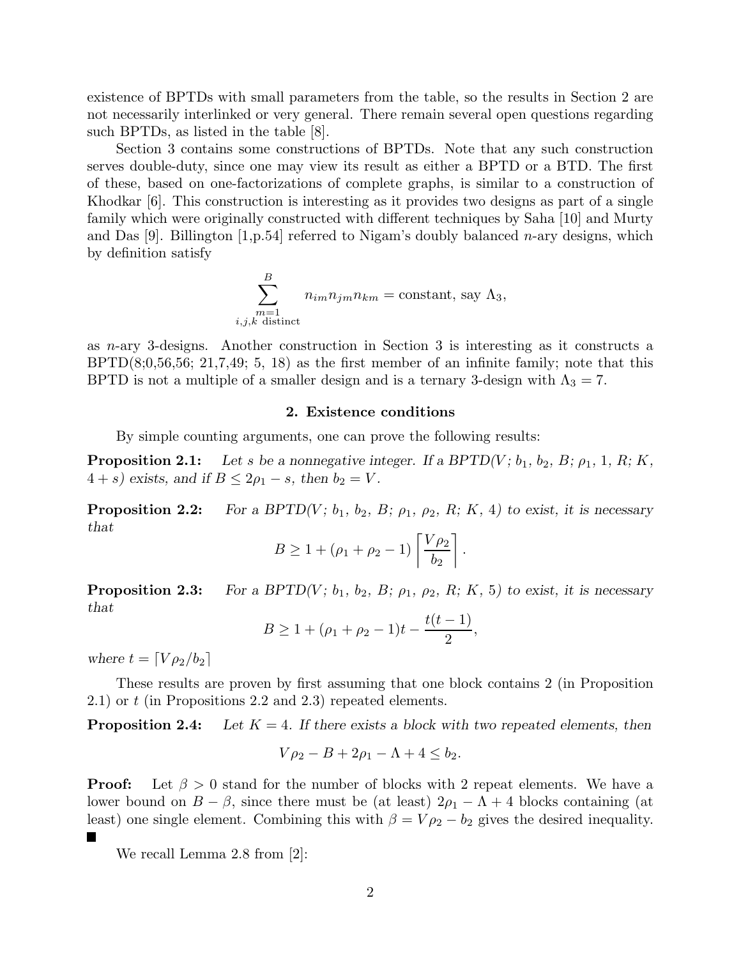existence of BPTDs with small parameters from the table, so the results in Section 2 are not necessarily interlinked or very general. There remain several open questions regarding such BPTDs, as listed in the table [8].

Section 3 contains some constructions of BPTDs. Note that any such construction serves double-duty, since one may view its result as either a BPTD or a BTD. The first of these, based on one-factorizations of complete graphs, is similar to a construction of Khodkar [6]. This construction is interesting as it provides two designs as part of a single family which were originally constructed with different techniques by Saha [10] and Murty and Das [9]. Billington  $[1,p.54]$  referred to Nigam's doubly balanced *n*-ary designs, which by definition satisfy

$$
\sum_{\substack{m=1 \ i,j,k \text{ distinct}}}^{B} n_{im} n_{jm} n_{km} = \text{constant, say } \Lambda_3,
$$

as n-ary 3-designs. Another construction in Section 3 is interesting as it constructs a  $BPTD(8;0,56,56; 21,7,49; 5, 18)$  as the first member of an infinite family; note that this BPTD is not a multiple of a smaller design and is a ternary 3-design with  $\Lambda_3 = 7$ .

#### 2. Existence conditions

By simple counting arguments, one can prove the following results:

**Proposition 2.1:** Let *s* be a nonnegative integer. If a BPTD(V;  $b_1$ ,  $b_2$ ,  $B$ ;  $\rho_1$ , 1, R; K,  $4 + s$ *)* exists, and if  $B \leq 2\rho_1 - s$ , then  $b_2 = V$ .

**Proposition 2.2:** *For a BPTD(V; b<sub>1</sub>, b<sub>2</sub>, B;*  $\rho_1$ *,*  $\rho_2$ *, R; K, 4) to exist, it is necessary that*

$$
B \ge 1 + (\rho_1 + \rho_2 - 1) \left[ \frac{V \rho_2}{b_2} \right].
$$

**Proposition 2.3:** *For a BPTD(V; b<sub>1</sub>, b<sub>2</sub>, B;*  $\rho_1$ *,*  $\rho_2$ *, R; K, 5) to exist, it is necessary that*

$$
B \ge 1 + (\rho_1 + \rho_2 - 1)t - \frac{t(t-1)}{2},
$$

*where*  $t = \left[\frac{V \rho_2}{b_2}\right]$ 

These results are proven by first assuming that one block contains 2 (in Proposition 2.1) or t (in Propositions 2.2 and 2.3) repeated elements.

**Proposition 2.4:** Let  $K = 4$ . If there exists a block with two repeated elements, then

$$
V\rho_2 - B + 2\rho_1 - \Lambda + 4 \le b_2.
$$

**Proof:** Let  $\beta > 0$  stand for the number of blocks with 2 repeat elements. We have a lower bound on  $B - \beta$ , since there must be (at least)  $2\rho_1 - \Lambda + 4$  blocks containing (at least) one single element. Combining this with  $\beta = V \rho_2 - b_2$  gives the desired inequality. F

We recall Lemma 2.8 from [2]: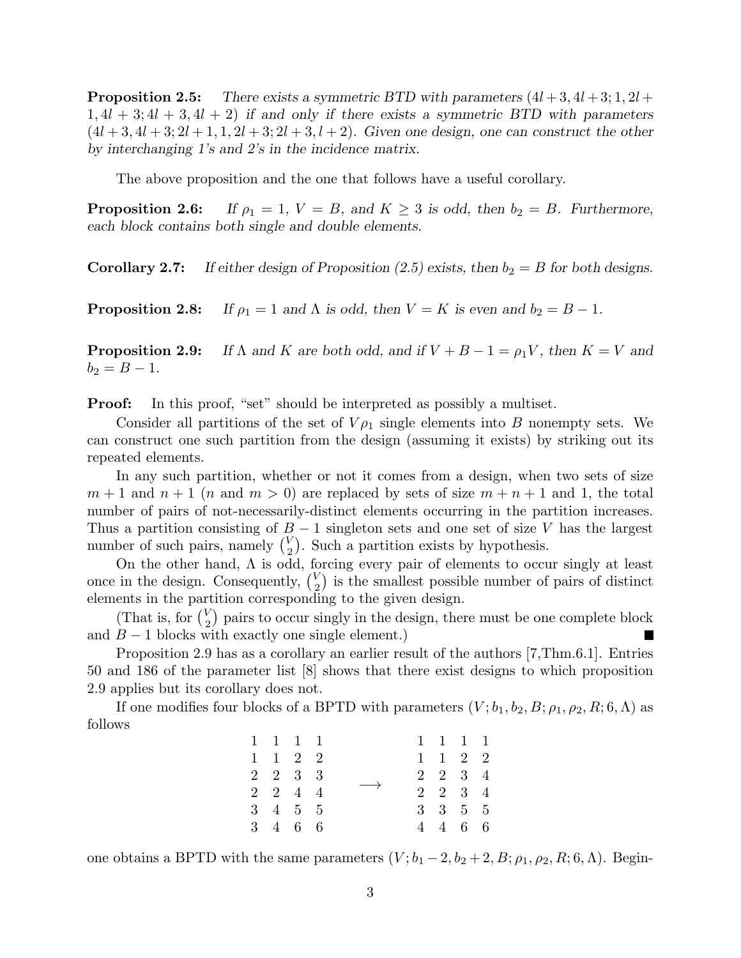**Proposition 2.5:** There exists a symmetric BTD with parameters  $(4l + 3, 4l + 3; 1, 2l + 1)$ 1, 4l + 3; 4l + 3, 4l + 2) *if and only if there exists a symmetric BTD with parameters*  $(4l + 3, 4l + 3; 2l + 1, 1, 2l + 3; 2l + 3, l + 2)$ *. Given one design, one can construct the other by interchanging 1's and 2's in the incidence matrix.*

The above proposition and the one that follows have a useful corollary.

**Proposition 2.6:** *If*  $\rho_1 = 1$ ,  $V = B$ , and  $K \geq 3$  is odd, then  $b_2 = B$ . Furthermore, *each block contains both single and double elements.*

**Corollary 2.7:** If either design of Proposition (2.5) exists, then  $b_2 = B$  for both designs.

**Proposition 2.8:** *If*  $\rho_1 = 1$  *and*  $\Lambda$  *is odd, then*  $V = K$  *is even and*  $b_2 = B - 1$ *.* 

**Proposition 2.9:** If  $\Lambda$  and  $K$  are both odd, and if  $V + B - 1 = \rho_1 V$ , then  $K = V$  and  $b_2 = B - 1.$ 

**Proof:** In this proof, "set" should be interpreted as possibly a multiset.

Consider all partitions of the set of  $V_{\rho_1}$  single elements into B nonempty sets. We can construct one such partition from the design (assuming it exists) by striking out its repeated elements.

In any such partition, whether or not it comes from a design, when two sets of size  $m+1$  and  $n+1$  (n and  $m>0$ ) are replaced by sets of size  $m+n+1$  and 1, the total number of pairs of not-necessarily-distinct elements occurring in the partition increases. Thus a partition consisting of  $B-1$  singleton sets and one set of size V has the largest number of such pairs, namely  $\binom{V}{2}$ . Such a partition exists by hypothesis.

On the other hand,  $\Lambda$  is odd, forcing every pair of elements to occur singly at least once in the design. Consequently,  $\binom{V}{2}$  is the smallest possible number of pairs of distinct elements in the partition corresponding to the given design.

(That is, for  $\binom{V}{2}$  pairs to occur singly in the design, there must be one complete block and  $B - 1$  blocks with exactly one single element.) I.

Proposition 2.9 has as a corollary an earlier result of the authors [7,Thm.6.1]. Entries 50 and 186 of the parameter list [8] shows that there exist designs to which proposition 2.9 applies but its corollary does not.

If one modifies four blocks of a BPTD with parameters  $(V; b_1, b_2, B; \rho_1, \rho_2, R; 6, \Lambda)$  as follows

|  | 1 1 1 1         |                   |  | 1 1 1 1                     |  |
|--|-----------------|-------------------|--|-----------------------------|--|
|  | $1 \t1 \t2 \t2$ |                   |  | $1 \quad 1 \quad 2 \quad 2$ |  |
|  | 2 2 3 3         |                   |  | $2 \t2 \t3 \t4$             |  |
|  | $2 \t2 \t4 \t4$ | $\longrightarrow$ |  | $2 \t2 \t3 \t4$             |  |
|  | 3 4 5 5         |                   |  | $3 \t3 \t5 \t5$             |  |
|  | 3 4 6 6         |                   |  | 4 4 6 6                     |  |

one obtains a BPTD with the same parameters  $(V; b_1 - 2, b_2 + 2, B; \rho_1, \rho_2, R; 6, \Lambda)$ . Begin-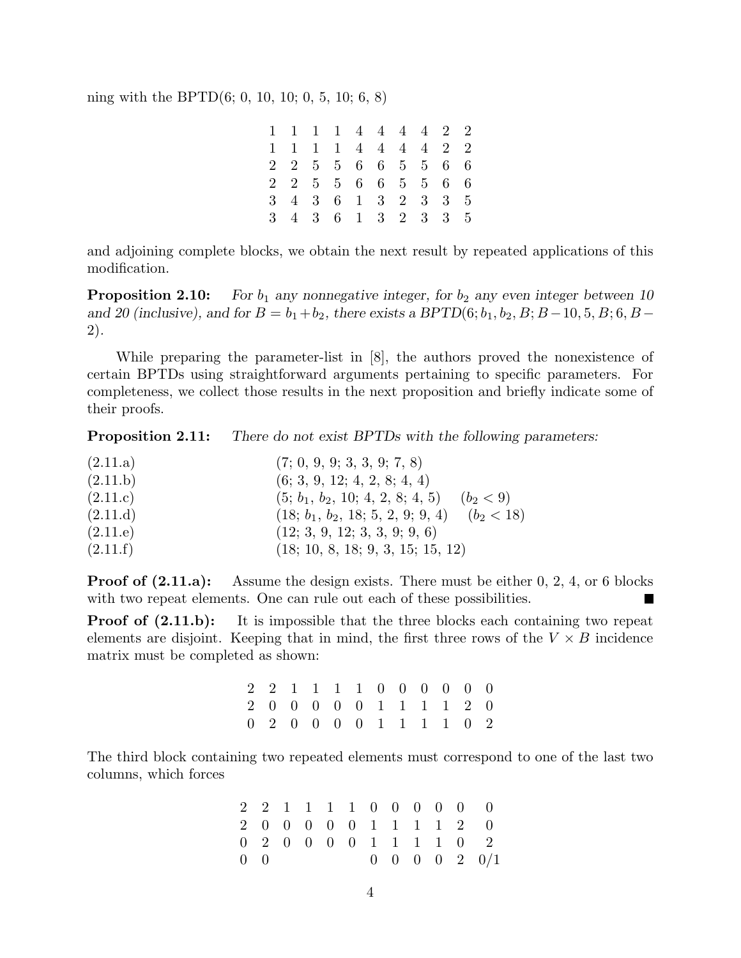ning with the BPTD(6; 0, 10, 10; 0, 5, 10; 6, 8)

|  |  | 1 1 1 1 4 4 4 4 2 2 |  |  |  |
|--|--|---------------------|--|--|--|
|  |  | 1 1 1 1 4 4 4 4 2 2 |  |  |  |
|  |  | 2 2 5 5 6 6 5 5 6 6 |  |  |  |
|  |  | 2 2 5 5 6 6 5 5 6 6 |  |  |  |
|  |  | 3 4 3 6 1 3 2 3 3 5 |  |  |  |
|  |  | 3 4 3 6 1 3 2 3 3 5 |  |  |  |

and adjoining complete blocks, we obtain the next result by repeated applications of this modification.

**Proposition 2.10:** *For*  $b_1$  *any nonnegative integer, for*  $b_2$  *any even integer between 10 and 20 (inclusive), and for*  $B = b_1 + b_2$ , there exists a BPTD(6;  $b_1, b_2, B$ ;  $B - 10, 5, B$ ; 6,  $B -$ 2)*.*

While preparing the parameter-list in [8], the authors proved the nonexistence of certain BPTDs using straightforward arguments pertaining to specific parameters. For completeness, we collect those results in the next proposition and briefly indicate some of their proofs.

Proposition 2.11: *There do not exist BPTDs with the following parameters:*

| (2.11.a) | (7; 0, 9, 9; 3, 3, 9; 7, 8)                         |
|----------|-----------------------------------------------------|
| (2.11.b) | (6; 3, 9, 12; 4, 2, 8; 4, 4)                        |
| (2.11.c) | $(5; b_1, b_2, 10; 4, 2, 8; 4, 5)$<br>$(b_2 < 9)$   |
| (2.11.d) | $(b_2 < 18)$<br>$(18; b_1, b_2, 18; 5, 2, 9; 9, 4)$ |
| (2.11.e) | (12; 3, 9, 12; 3, 3, 9; 9, 6)                       |
| (2.11.f) | (18; 10, 8, 18; 9, 3, 15; 15, 12)                   |

**Proof of (2.11.a):** Assume the design exists. There must be either 0, 2, 4, or 6 blocks with two repeat elements. One can rule out each of these possibilities. Г

**Proof of (2.11.b):** It is impossible that the three blocks each containing two repeat elements are disjoint. Keeping that in mind, the first three rows of the  $V \times B$  incidence matrix must be completed as shown:

|  |  |  |  |  | 2 2 1 1 1 1 0 0 0 0 0 0 |  |
|--|--|--|--|--|-------------------------|--|
|  |  |  |  |  | 2 0 0 0 0 0 1 1 1 1 2 0 |  |
|  |  |  |  |  | 0 2 0 0 0 0 1 1 1 1 0 2 |  |

The third block containing two repeated elements must correspond to one of the last two columns, which forces

|             |  |  |  |  | 2 2 1 1 1 1 0 0 0 0 0 0        |
|-------------|--|--|--|--|--------------------------------|
|             |  |  |  |  | 2 0 0 0 0 0 1 1 1 1 2 0        |
|             |  |  |  |  | 0 2 0 0 0 0 1 1 1 1 0 2        |
| $0 \quad 0$ |  |  |  |  | $0 \t 0 \t 0 \t 0 \t 2 \t 0/1$ |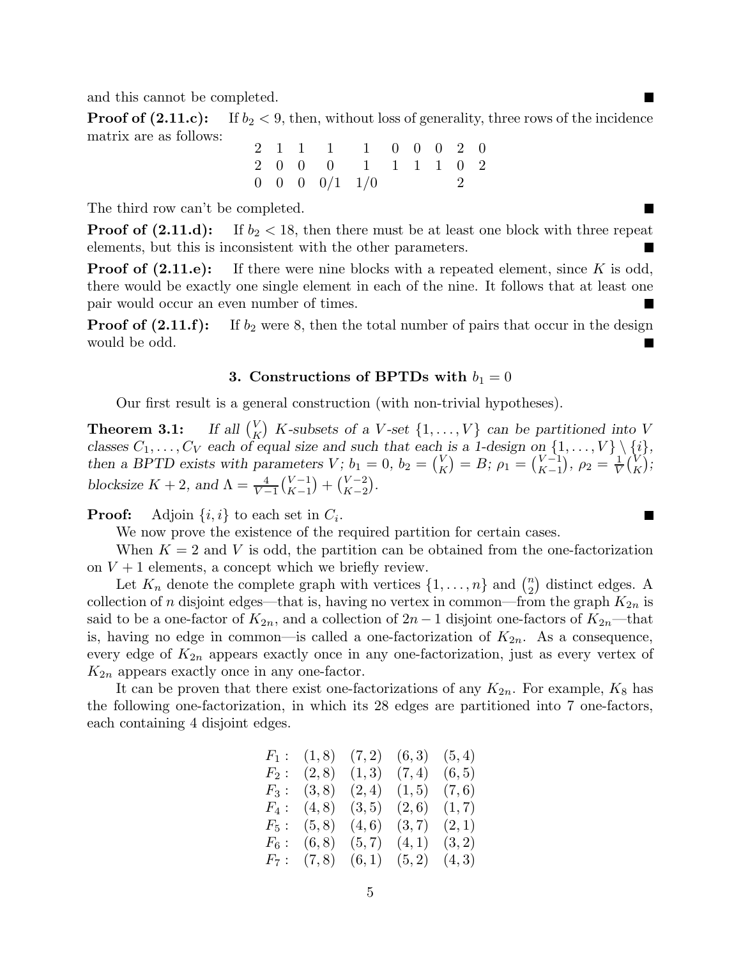and this cannot be completed.

**Proof of (2.11.c):** If  $b_2 < 9$ , then, without loss of generality, three rows of the incidence matrix are as follows:

|  |  | 2 1 1 1 1 0 0 0 2 0              |  |  |  |
|--|--|----------------------------------|--|--|--|
|  |  | 2 0 0 0 1 1 1 1 0 2              |  |  |  |
|  |  | $0 \t 0 \t 0 \t 0/1 \t 1/0 \t 2$ |  |  |  |

The third row can't be completed.

**Proof of (2.11.d):** If  $b_2 < 18$ , then there must be at least one block with three repeat elements, but this is inconsistent with the other parameters.

 $\blacksquare$ 

L.

**Proof of (2.11.e):** If there were nine blocks with a repeated element, since K is odd, there would be exactly one single element in each of the nine. It follows that at least one pair would occur an even number of times.  $\blacksquare$ 

**Proof of (2.11.f):** If  $b_2$  were 8, then the total number of pairs that occur in the design would be odd. I.

### 3. Constructions of BPTDs with  $b_1 = 0$

Our first result is a general construction (with non-trivial hypotheses).

Theorem 3.1:  $K_K$ ) K-subsets of a V-set  $\{1,\ldots,V\}$  can be partitioned into V classes  $C_1, \ldots, C_V$  each of equal size and such that each is a 1-design on  $\{1, \ldots, V\} \setminus \{i\}$ , *then a BPTD exists with parameters*  $V$ ;  $b_1 = 0$ ,  $b_2 = \binom{V}{K}$  $K \choose K = B; \rho_1 = \binom{V-1}{K-1}$  $\binom{V-1}{K-1}, \ \rho_2 = \frac{1}{V}$  $\frac{1}{V}$  $\binom{V}{K}$ K *; blocksize*  $K + 2$ *, and*  $\Lambda = \frac{4}{V - 1} {V - 1 \choose K - 1}$  $\binom{V-1}{K-1} + \binom{V-2}{K-2}$  $\binom{V-2}{K-2}$ .

**Proof:** Adjoin  $\{i, i\}$  to each set in  $C_i$ .

We now prove the existence of the required partition for certain cases.

When  $K = 2$  and V is odd, the partition can be obtained from the one-factorization on  $V + 1$  elements, a concept which we briefly review.

Let  $K_n$  denote the complete graph with vertices  $\{1, \ldots, n\}$  and  $\binom{n}{2}$  distinct edges. A collection of n disjoint edges—that is, having no vertex in common—from the graph  $K_{2n}$  is said to be a one-factor of  $K_{2n}$ , and a collection of  $2n-1$  disjoint one-factors of  $K_{2n}$ —that is, having no edge in common—is called a one-factorization of  $K_{2n}$ . As a consequence, every edge of  $K_{2n}$  appears exactly once in any one-factorization, just as every vertex of  $K_{2n}$  appears exactly once in any one-factor.

It can be proven that there exist one-factorizations of any  $K_{2n}$ . For example,  $K_8$  has the following one-factorization, in which its 28 edges are partitioned into 7 one-factors, each containing 4 disjoint edges.

|         | $F_1: (1,8)$ | (7,2)  | (6,3)  | (5, 4) |
|---------|--------------|--------|--------|--------|
| $F_2$ : | (2,8)        | (1,3)  | (7, 4) | (6, 5) |
| $F_3:$  | (3, 8)       | (2,4)  | (1, 5) | (7,6)  |
| $F_4$ : | (4, 8)       | (3, 5) | (2,6)  | (1, 7) |
| $F_5$ : | (5, 8)       | (4,6)  | (3,7)  | (2,1)  |
| $F_6$ : | (6, 8)       | (5, 7) | (4,1)  | (3,2)  |
|         | $F_7: (7,8)$ | (6,1)  | (5,2)  | (4,3)  |

5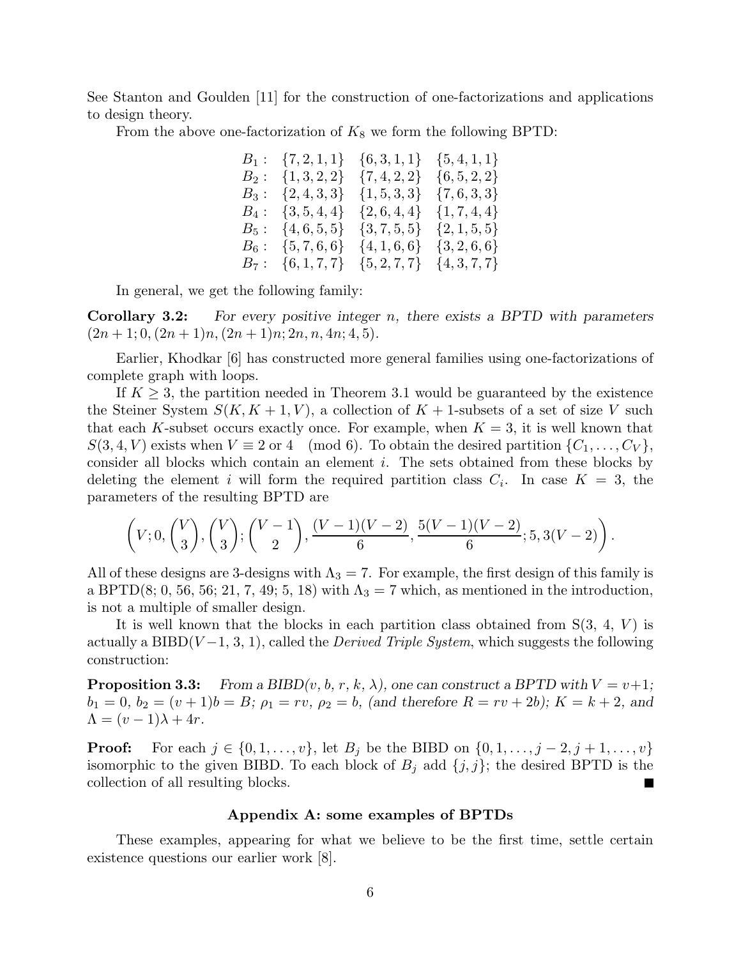See Stanton and Goulden [11] for the construction of one-factorizations and applications to design theory.

From the above one-factorization of  $K_8$  we form the following BPTD:

|         | $B_1: \{7,2,1,1\}$ | $\{6,3,1,1\}$    | $\{5,4,1,1\}$    |
|---------|--------------------|------------------|------------------|
| $B_2:$  | $\{1,3,2,2\}$      | $\{7,4,2,2\}$    | $\{6, 5, 2, 2\}$ |
| $B_3$ : | $\{2,4,3,3\}$      | $\{1, 5, 3, 3\}$ | $\{7,6,3,3\}$    |
| $B_4:$  | $\{3, 5, 4, 4\}$   | $\{2,6,4,4\}$    | $\{1, 7, 4, 4\}$ |
| $B_5:$  | $\{4,6,5,5\}$      | $\{3,7,5,5\}$    | $\{2, 1, 5, 5\}$ |
| $B_6:$  | $\{5,7,6,6\}$      | $\{4, 1, 6, 6\}$ | $\{3, 2, 6, 6\}$ |
| $B_7:$  | $\{6, 1, 7, 7\}$   | $\{5, 2, 7, 7\}$ | $\{4,3,7,7\}$    |

In general, we get the following family:

Corollary 3.2: *For every positive integer* n*, there exists a BPTD with parameters*  $(2n+1; 0, (2n+1)n, (2n+1)n; 2n, n, 4n; 4, 5).$ 

Earlier, Khodkar [6] has constructed more general families using one-factorizations of complete graph with loops.

If  $K \geq 3$ , the partition needed in Theorem 3.1 would be guaranteed by the existence the Steiner System  $S(K, K + 1, V)$ , a collection of  $K + 1$ -subsets of a set of size V such that each K-subset occurs exactly once. For example, when  $K = 3$ , it is well known that  $S(3, 4, V)$  exists when  $V \equiv 2 \text{ or } 4 \pmod{6}$ . To obtain the desired partition  $\{C_1, \ldots, C_V\},$ consider all blocks which contain an element i. The sets obtained from these blocks by deleting the element i will form the required partition class  $C_i$ . In case  $K = 3$ , the parameters of the resulting BPTD are

$$
\left(V;0, \binom{V}{3}, \binom{V}{3}; \binom{V-1}{2}, \frac{(V-1)(V-2)}{6}, \frac{5(V-1)(V-2)}{6}; 5, 3(V-2)\right).
$$

All of these designs are 3-designs with  $\Lambda_3 = 7$ . For example, the first design of this family is a BPTD(8; 0, 56, 56; 21, 7, 49; 5, 18) with  $\Lambda_3 = 7$  which, as mentioned in the introduction, is not a multiple of smaller design.

It is well known that the blocks in each partition class obtained from  $S(3, 4, V)$  is actually a BIBD( $V-1, 3, 1$ ), called the *Derived Triple System*, which suggests the following construction:

**Proposition 3.3:** *From a BIBD(v, b, r, k,*  $\lambda$ *), one can construct a BPTD with*  $V = v+1$ ;  $b_1 = 0, b_2 = (v + 1)b = B; \rho_1 = rv, \rho_2 = b$ , (and therefore  $R = rv + 2b$ );  $K = k + 2$ , and  $\Lambda = (v-1)\lambda + 4r.$ 

**Proof:** For each  $j \in \{0, 1, ..., v\}$ , let  $B_j$  be the BIBD on  $\{0, 1, ..., j - 2, j + 1, ..., v\}$ isomorphic to the given BIBD. To each block of  $B_j$  add  $\{j, j\}$ ; the desired BPTD is the collection of all resulting blocks. I.

## Appendix A: some examples of BPTDs

These examples, appearing for what we believe to be the first time, settle certain existence questions our earlier work [8].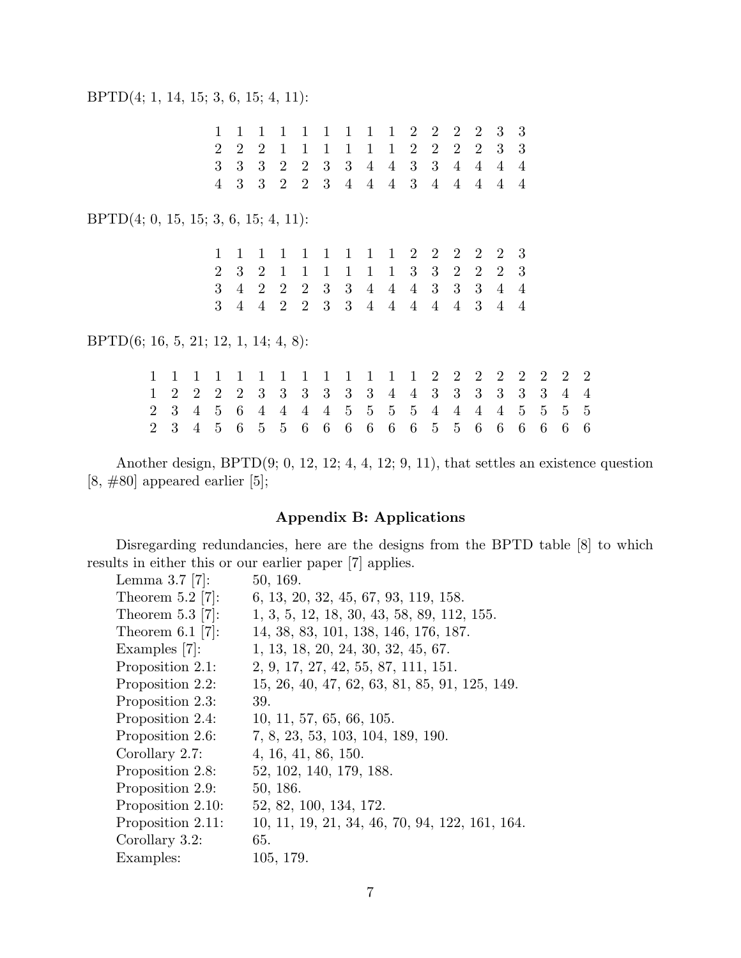1 1 1 1 1 1 1 1 1 2 2 2 2 3 3 2 2 2 1 1 1 1 1 1 2 2 2 2 3 3 3 3 3 2 2 3 3 4 4 3 3 4 4 4 4 4 3 3 2 2 3 4 4 4 3 4 4 4 4 4 BPTD(4; 0, 15, 15; 3, 6, 15; 4, 11): 1 1 1 1 1 1 1 1 1 2 2 2 2 2 3

2 3 2 1 1 1 1 1 1 3 3 2 2 2 3 3 4 2 2 2 3 3 4 4 4 3 3 3 4 4 3 4 4 2 2 3 3 4 4 4 4 4 3 4 4

BPTD(6; 16, 5, 21; 12, 1, 14; 4, 8):

1 1 1 1 1 1 1 1 1 1 1 1 1 2 2 2 2 2 2 2 2 1 2 2 2 2 3 3 3 3 3 3 4 4 3 3 3 3 3 3 4 4 2 3 4 5 6 4 4 4 4 5 5 5 5 4 4 4 4 5 5 5 5 2 3 4 5 6 5 5 6 6 6 6 6 6 5 5 6 6 6 6 6 6

Another design, BPTD(9; 0, 12, 12; 4, 4, 12; 9, 11), that settles an existence question  $[8, #80]$  appeared earlier  $[5]$ ;

## Appendix B: Applications

Disregarding redundancies, here are the designs from the BPTD table [8] to which results in either this or our earlier paper [7] applies.<br>  $\frac{1 \text{ or } 3 \times 5 \times 7}{2!}$ 

| Lemma $3.7$ [7]:   | 50, 169.                                       |
|--------------------|------------------------------------------------|
| Theorem $5.2$ [7]: | 6, 13, 20, 32, 45, 67, 93, 119, 158.           |
| Theorem $5.3$ [7]: | 1, 3, 5, 12, 18, 30, 43, 58, 89, 112, 155.     |
| Theorem $6.1$ [7]: | 14, 38, 83, 101, 138, 146, 176, 187.           |
| Examples $[7]$ :   | 1, 13, 18, 20, 24, 30, 32, 45, 67.             |
| Proposition 2.1:   | 2, 9, 17, 27, 42, 55, 87, 111, 151.            |
| Proposition 2.2:   | 15, 26, 40, 47, 62, 63, 81, 85, 91, 125, 149.  |
| Proposition 2.3:   | 39.                                            |
| Proposition 2.4:   | 10, 11, 57, 65, 66, 105.                       |
| Proposition 2.6:   | 7, 8, 23, 53, 103, 104, 189, 190.              |
| Corollary 2.7:     | 4, 16, 41, 86, 150.                            |
| Proposition 2.8:   | 52, 102, 140, 179, 188.                        |
| Proposition 2.9:   | 50, 186.                                       |
| Proposition 2.10:  | 52, 82, 100, 134, 172.                         |
| Proposition 2.11:  | 10, 11, 19, 21, 34, 46, 70, 94, 122, 161, 164. |
| Corollary 3.2:     | 65.                                            |
| Examples:          | 105, 179.                                      |